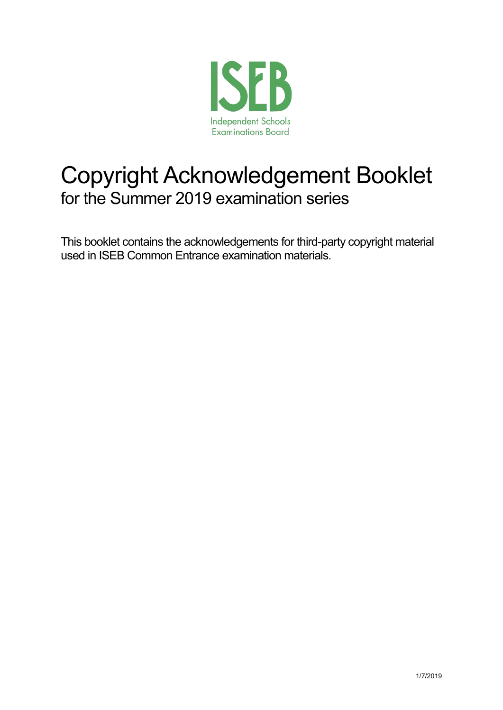

# Copyright Acknowledgement Booklet for the Summer 2019 examination series

This booklet contains the acknowledgements for third-party copyright material used in ISEB Common Entrance examination materials.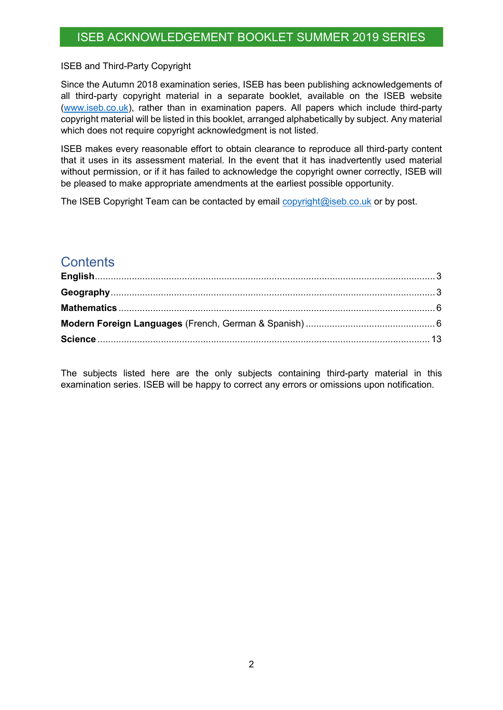#### ISEB and Third-Party Copyright

Since the Autumn 2018 examination series, ISEB has been publishing acknowledgements of all third-party copyright material in a separate booklet, available on the ISEB website [\(www.iseb.co.uk\)](http://www.iseb.co.uk/), rather than in examination papers. All papers which include third-party copyright material will be listed in this booklet, arranged alphabetically by subject. Any material which does not require copyright acknowledgment is not listed.

ISEB makes every reasonable effort to obtain clearance to reproduce all third-party content that it uses in its assessment material. In the event that it has inadvertently used material without permission, or if it has failed to acknowledge the copyright owner correctly, ISEB will be pleased to make appropriate amendments at the earliest possible opportunity.

The ISEB Copyright Team can be contacted by email [copyright@iseb.co.uk](mailto:copyright@iseb.co.uk) or by post.

#### **Contents**

The subjects listed here are the only subjects containing third-party material in this examination series. ISEB will be happy to correct any errors or omissions upon notification.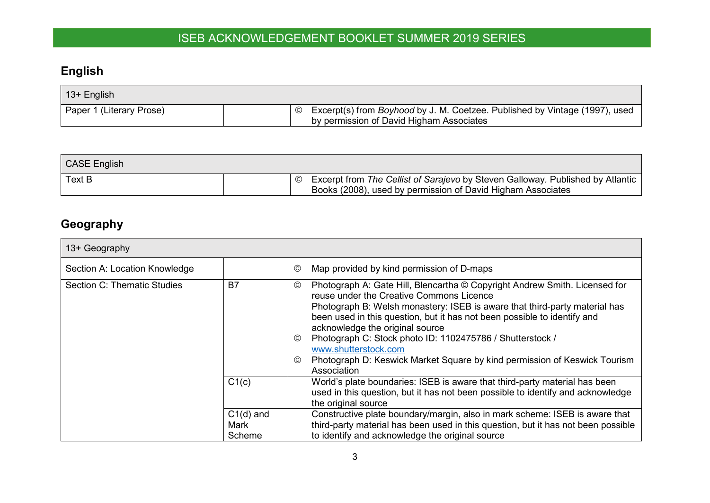### **English**

| $\vert$ 13+ English      |                                                                                                                         |
|--------------------------|-------------------------------------------------------------------------------------------------------------------------|
| Paper 1 (Literary Prose) | Excerpt(s) from Boyhood by J. M. Coetzee. Published by Vintage (1997), used<br>by permission of David Higham Associates |

| CASE English |                                                                                                                                                            |
|--------------|------------------------------------------------------------------------------------------------------------------------------------------------------------|
| Text B       | │ © Excerpt from <i>The Cellist of Sarajevo</i> by Steven Galloway. Published by Atlantic │<br>Books (2008), used by permission of David Higham Associates |

### **Geography**

<span id="page-2-1"></span><span id="page-2-0"></span>

| 13+ Geography                      |                               |                                                                                                                                                                                                                                                                                                                                                                                                                                                                                                                                             |
|------------------------------------|-------------------------------|---------------------------------------------------------------------------------------------------------------------------------------------------------------------------------------------------------------------------------------------------------------------------------------------------------------------------------------------------------------------------------------------------------------------------------------------------------------------------------------------------------------------------------------------|
| Section A: Location Knowledge      |                               | $\odot$<br>Map provided by kind permission of D-maps                                                                                                                                                                                                                                                                                                                                                                                                                                                                                        |
| <b>Section C: Thematic Studies</b> | B7                            | Photograph A: Gate Hill, Blencartha © Copyright Andrew Smith. Licensed for<br>$_{\odot}$<br>reuse under the Creative Commons Licence<br>Photograph B: Welsh monastery: ISEB is aware that third-party material has<br>been used in this question, but it has not been possible to identify and<br>acknowledge the original source<br>Photograph C: Stock photo ID: 1102475786 / Shutterstock /<br>$\odot$<br>www.shutterstock.com<br>Photograph D: Keswick Market Square by kind permission of Keswick Tourism<br>$_{\odot}$<br>Association |
|                                    | C1(c)                         | World's plate boundaries: ISEB is aware that third-party material has been<br>used in this question, but it has not been possible to identify and acknowledge<br>the original source                                                                                                                                                                                                                                                                                                                                                        |
|                                    | $C1(d)$ and<br>Mark<br>Scheme | Constructive plate boundary/margin, also in mark scheme: ISEB is aware that<br>third-party material has been used in this question, but it has not been possible<br>to identify and acknowledge the original source                                                                                                                                                                                                                                                                                                                         |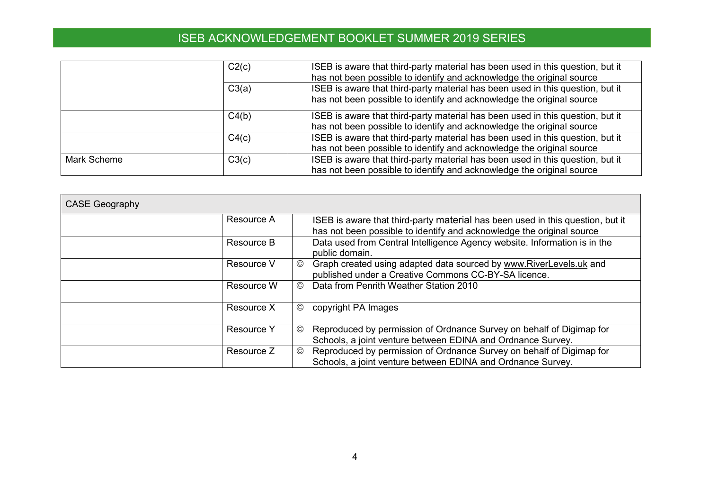|             | C2(c) | ISEB is aware that third-party material has been used in this question, but it<br>has not been possible to identify and acknowledge the original source |
|-------------|-------|---------------------------------------------------------------------------------------------------------------------------------------------------------|
|             | C3(a) | ISEB is aware that third-party material has been used in this question, but it<br>has not been possible to identify and acknowledge the original source |
|             | C4(b) | ISEB is aware that third-party material has been used in this question, but it<br>has not been possible to identify and acknowledge the original source |
|             | C4(c) | ISEB is aware that third-party material has been used in this question, but it<br>has not been possible to identify and acknowledge the original source |
| Mark Scheme | C3(c) | ISEB is aware that third-party material has been used in this question, but it<br>has not been possible to identify and acknowledge the original source |

| <b>CASE Geography</b> |                                                                                                                                                         |
|-----------------------|---------------------------------------------------------------------------------------------------------------------------------------------------------|
| Resource A            | ISEB is aware that third-party material has been used in this question, but it<br>has not been possible to identify and acknowledge the original source |
| Resource B            | Data used from Central Intelligence Agency website. Information is in the<br>public domain.                                                             |
| Resource V            | Graph created using adapted data sourced by www. RiverLevels.uk and<br>$\odot$<br>published under a Creative Commons CC-BY-SA licence.                  |
| Resource W            | Data from Penrith Weather Station 2010<br>$\odot$                                                                                                       |
| Resource X            | $_{\odot}$<br>copyright PA Images                                                                                                                       |
| <b>Resource Y</b>     | Reproduced by permission of Ordnance Survey on behalf of Digimap for<br>$\circledcirc$<br>Schools, a joint venture between EDINA and Ordnance Survey.   |
| Resource Z            | Reproduced by permission of Ordnance Survey on behalf of Digimap for<br>$\odot$<br>Schools, a joint venture between EDINA and Ordnance Survey.          |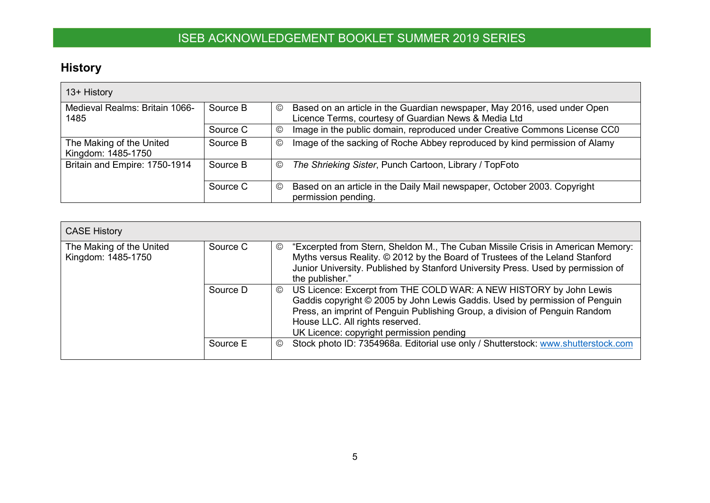### **History**

| 13+ History                                    |          |                                                                                                                                                    |
|------------------------------------------------|----------|----------------------------------------------------------------------------------------------------------------------------------------------------|
| Medieval Realms: Britain 1066-<br>1485         | Source B | Based on an article in the Guardian newspaper, May 2016, used under Open<br>$\circledcirc$<br>Licence Terms, courtesy of Guardian News & Media Ltd |
|                                                | Source C | Image in the public domain, reproduced under Creative Commons License CC0<br>$\circledcirc$                                                        |
| The Making of the United<br>Kingdom: 1485-1750 | Source B | Image of the sacking of Roche Abbey reproduced by kind permission of Alamy<br>$\circledcirc$                                                       |
| Britain and Empire: 1750-1914                  | Source B | The Shrieking Sister, Punch Cartoon, Library / TopFoto<br>$_{\mathbb{C}}$                                                                          |
|                                                | Source C | Based on an article in the Daily Mail newspaper, October 2003. Copyright<br>$\circledcirc$<br>permission pending.                                  |

| <b>CASE History</b>                            |          |                                                                                                                                                                                                                                                                                                                            |
|------------------------------------------------|----------|----------------------------------------------------------------------------------------------------------------------------------------------------------------------------------------------------------------------------------------------------------------------------------------------------------------------------|
| The Making of the United<br>Kingdom: 1485-1750 | Source C | "Excerpted from Stern, Sheldon M., The Cuban Missile Crisis in American Memory:<br>$\odot$<br>Myths versus Reality. © 2012 by the Board of Trustees of the Leland Stanford<br>Junior University. Published by Stanford University Press. Used by permission of<br>the publisher."                                          |
|                                                | Source D | US Licence: Excerpt from THE COLD WAR: A NEW HISTORY by John Lewis<br>$\odot$<br>Gaddis copyright © 2005 by John Lewis Gaddis. Used by permission of Penguin<br>Press, an imprint of Penguin Publishing Group, a division of Penguin Random<br>House LLC. All rights reserved.<br>UK Licence: copyright permission pending |
|                                                | Source E | Stock photo ID: 7354968a. Editorial use only / Shutterstock: www.shutterstock.com<br>$\circledcirc$                                                                                                                                                                                                                        |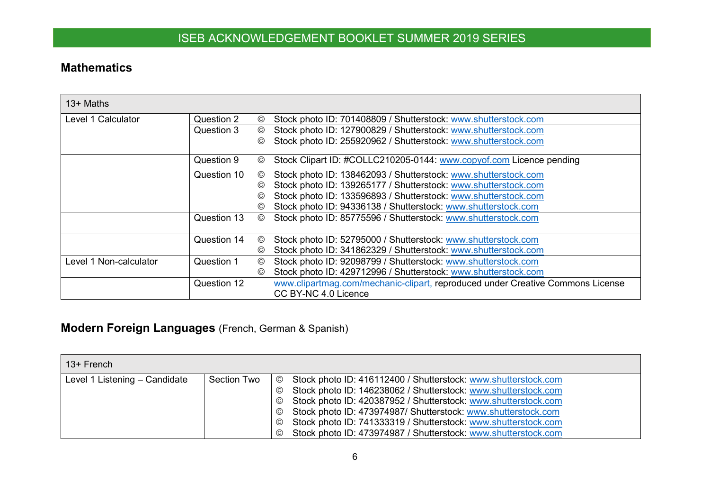#### **Mathematics**

| 13+ Maths              |             |               |                                                                                |
|------------------------|-------------|---------------|--------------------------------------------------------------------------------|
| Level 1 Calculator     | Question 2  | $^\copyright$ | Stock photo ID: 701408809 / Shutterstock: www.shutterstock.com                 |
|                        | Question 3  | $\odot$       | Stock photo ID: 127900829 / Shutterstock: www.shutterstock.com                 |
|                        |             | $\odot$       | Stock photo ID: 255920962 / Shutterstock: www.shutterstock.com                 |
|                        | Question 9  | $^\copyright$ | Stock Clipart ID: #COLLC210205-0144: www.copyof.com Licence pending            |
|                        | Question 10 | $\odot$       | Stock photo ID: 138462093 / Shutterstock: www.shutterstock.com                 |
|                        |             | $\odot$       | Stock photo ID: 139265177 / Shutterstock: www.shutterstock.com                 |
|                        |             | $\odot$       | Stock photo ID: 133596893 / Shutterstock: www.shutterstock.com                 |
|                        |             | $\odot$       | Stock photo ID: 94336138 / Shutterstock: www.shutterstock.com                  |
|                        | Question 13 | ◎             | Stock photo ID: 85775596 / Shutterstock: www.shutterstock.com                  |
|                        |             |               |                                                                                |
|                        | Question 14 | $^\copyright$ | Stock photo ID: 52795000 / Shutterstock: www.shutterstock.com                  |
|                        |             | $\odot$       | Stock photo ID: 341862329 / Shutterstock: www.shutterstock.com                 |
| Level 1 Non-calculator | Question 1  | ◎             | Stock photo ID: 92098799 / Shutterstock: www.shutterstock.com                  |
|                        |             | $\odot$       | Stock photo ID: 429712996 / Shutterstock: www.shutterstock.com                 |
|                        | Question 12 |               | www.clipartmag.com/mechanic-clipart, reproduced under Creative Commons License |
|                        |             |               | CC BY-NC 4.0 Licence                                                           |

#### <span id="page-5-0"></span>**Modern Foreign Languages** (French, German & Spanish)

<span id="page-5-1"></span>

| 13+ French                    |             |                                                                           |
|-------------------------------|-------------|---------------------------------------------------------------------------|
| Level 1 Listening - Candidate | Section Two | Stock photo ID: 416112400 / Shutterstock: www.shutterstock.com<br>$\odot$ |
|                               |             | Stock photo ID: 146238062 / Shutterstock: www.shutterstock.com<br>$\odot$ |
|                               |             | Stock photo ID: 420387952 / Shutterstock: www.shutterstock.com<br>$\odot$ |
|                               |             | Stock photo ID: 473974987/ Shutterstock: www.shutterstock.com<br>$\odot$  |
|                               |             | Stock photo ID: 741333319 / Shutterstock: www.shutterstock.com<br>$\odot$ |
|                               |             | Stock photo ID: 473974987 / Shutterstock: www.shutterstock.com<br>$\odot$ |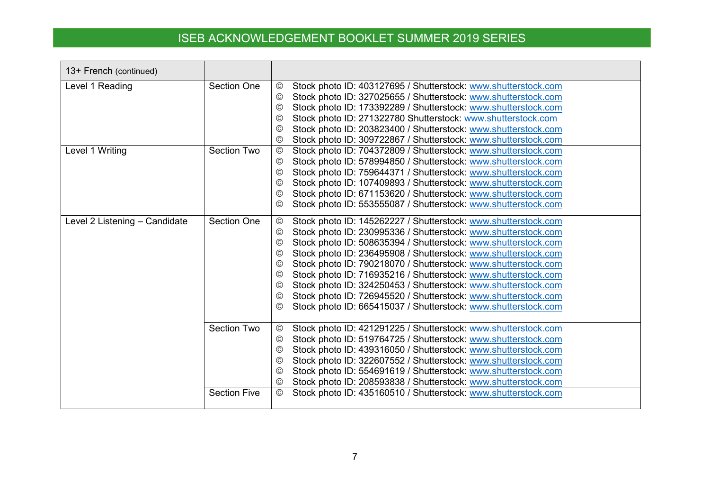| 13+ French (continued)             |                                           |                                                                                                                                                                                                                                                                                                                                                                                                                                                                                                                                                                                                                                                                                                                                                                                                                                                                                                          |
|------------------------------------|-------------------------------------------|----------------------------------------------------------------------------------------------------------------------------------------------------------------------------------------------------------------------------------------------------------------------------------------------------------------------------------------------------------------------------------------------------------------------------------------------------------------------------------------------------------------------------------------------------------------------------------------------------------------------------------------------------------------------------------------------------------------------------------------------------------------------------------------------------------------------------------------------------------------------------------------------------------|
| Level 1 Reading<br>Level 1 Writing | <b>Section One</b><br><b>Section Two</b>  | Stock photo ID: 403127695 / Shutterstock: www.shutterstock.com<br>$\circledcirc$<br>Stock photo ID: 327025655 / Shutterstock: www.shutterstock.com<br>©<br>Stock photo ID: 173392289 / Shutterstock: www.shutterstock.com<br>$\odot$<br>Stock photo ID: 271322780 Shutterstock: www.shutterstock.com<br>$\circledcirc$<br>Stock photo ID: 203823400 / Shutterstock: www.shutterstock.com<br>$\odot$<br>Stock photo ID: 309722867 / Shutterstock: www.shutterstock.com<br>$\circledcirc$<br>Stock photo ID: 704372809 / Shutterstock: www.shutterstock.com<br>$_{\odot}$<br>Stock photo ID: 578994850 / Shutterstock: www.shutterstock.com<br>$_{\odot}$<br>Stock photo ID: 759644371 / Shutterstock: www.shutterstock.com<br>$\odot$<br>Stock photo ID: 107409893 / Shutterstock: www.shutterstock.com<br>$\circledcirc$<br>Stock photo ID: 671153620 / Shutterstock: www.shutterstock.com<br>$^{\circ}$ |
|                                    |                                           | Stock photo ID: 553555087 / Shutterstock: www.shutterstock.com<br>$\odot$                                                                                                                                                                                                                                                                                                                                                                                                                                                                                                                                                                                                                                                                                                                                                                                                                                |
| Level 2 Listening - Candidate      | <b>Section One</b>                        | Stock photo ID: 145262227 / Shutterstock: www.shutterstock.com<br>$_{\odot}$<br>Stock photo ID: 230995336 / Shutterstock: www.shutterstock.com<br>$\circledcirc$<br>Stock photo ID: 508635394 / Shutterstock: www.shutterstock.com<br>$\odot$<br>Stock photo ID: 236495908 / Shutterstock: www.shutterstock.com<br>$_{\odot}$<br>Stock photo ID: 790218070 / Shutterstock: www.shutterstock.com<br>$\odot$<br>Stock photo ID: 716935216 / Shutterstock: www.shutterstock.com<br>$\odot$<br>Stock photo ID: 324250453 / Shutterstock: www.shutterstock.com<br>$\circledcirc$<br>Stock photo ID: 726945520 / Shutterstock: www.shutterstock.com<br>$\circledcirc$<br>Stock photo ID: 665415037 / Shutterstock: www.shutterstock.com<br>$\circled{c}$                                                                                                                                                       |
|                                    | <b>Section Two</b><br><b>Section Five</b> | Stock photo ID: 421291225 / Shutterstock: www.shutterstock.com<br>©<br>Stock photo ID: 519764725 / Shutterstock: www.shutterstock.com<br>$\odot$<br>Stock photo ID: 439316050 / Shutterstock: www.shutterstock.com<br>$\circledcirc$<br>Stock photo ID: 322607552 / Shutterstock: www.shutterstock.com<br>$\odot$<br>Stock photo ID: 554691619 / Shutterstock: www.shutterstock.com<br>$\odot$<br>Stock photo ID: 208593838 / Shutterstock: www.shutterstock.com<br>$\circledcirc$<br>Stock photo ID: 435160510 / Shutterstock: www.shutterstock.com<br>$_{\odot}$                                                                                                                                                                                                                                                                                                                                       |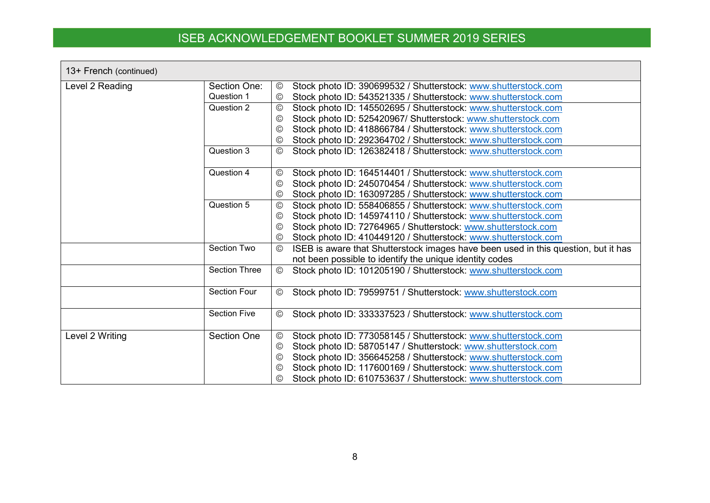| 13+ French (continued) |                      |                                                                                               |
|------------------------|----------------------|-----------------------------------------------------------------------------------------------|
| Level 2 Reading        | Section One:         | Stock photo ID: 390699532 / Shutterstock: www.shutterstock.com<br>$\circledcirc$              |
|                        | Question 1           | Stock photo ID: 543521335 / Shutterstock: www.shutterstock.com<br>$^\copyright$               |
|                        | Question 2           | Stock photo ID: 145502695 / Shutterstock: www.shutterstock.com<br>$_{\odot}$                  |
|                        |                      | Stock photo ID: 525420967/ Shutterstock: www.shutterstock.com<br>$_{\odot}$                   |
|                        |                      | Stock photo ID: 418866784 / Shutterstock: www.shutterstock.com<br>$\odot$                     |
|                        |                      | Stock photo ID: 292364702 / Shutterstock: www.shutterstock.com<br>$^\copyright$               |
|                        | Question 3           | Stock photo ID: 126382418 / Shutterstock: www.shutterstock.com<br>$_{\odot}$                  |
|                        | Question 4           | Stock photo ID: 164514401 / Shutterstock: www.shutterstock.com<br>$\odot$                     |
|                        |                      | Stock photo ID: 245070454 / Shutterstock: www.shutterstock.com<br>$\odot$                     |
|                        |                      | Stock photo ID: 163097285 / Shutterstock: www.shutterstock.com<br>©                           |
|                        | Question 5           | Stock photo ID: 558406855 / Shutterstock: www.shutterstock.com<br>$_{\odot}$                  |
|                        |                      | Stock photo ID: 145974110 / Shutterstock: www.shutterstock.com<br>$\odot$                     |
|                        |                      | Stock photo ID: 72764965 / Shutterstock: www.shutterstock.com<br>$\odot$                      |
|                        |                      | Stock photo ID: 410449120 / Shutterstock: www.shutterstock.com<br>©                           |
|                        | Section Two          | ISEB is aware that Shutterstock images have been used in this question, but it has<br>$\odot$ |
|                        |                      | not been possible to identify the unique identity codes                                       |
|                        | <b>Section Three</b> | Stock photo ID: 101205190 / Shutterstock: www.shutterstock.com<br>$\odot$                     |
|                        |                      |                                                                                               |
|                        | <b>Section Four</b>  | Stock photo ID: 79599751 / Shutterstock: www.shutterstock.com<br>$\circledcirc$               |
|                        |                      |                                                                                               |
|                        | <b>Section Five</b>  | Stock photo ID: 333337523 / Shutterstock: www.shutterstock.com<br>$\odot$                     |
| Level 2 Writing        | <b>Section One</b>   | Stock photo ID: 773058145 / Shutterstock: www.shutterstock.com<br>$_{\odot}$                  |
|                        |                      | Stock photo ID: 58705147 / Shutterstock: www.shutterstock.com<br>$\circledcirc$               |
|                        |                      | Stock photo ID: 356645258 / Shutterstock: www.shutterstock.com<br>$\circledcirc$              |
|                        |                      | Stock photo ID: 117600169 / Shutterstock: www.shutterstock.com<br>$\circledcirc$              |
|                        |                      | Stock photo ID: 610753637 / Shutterstock: www.shutterstock.com<br>(C)                         |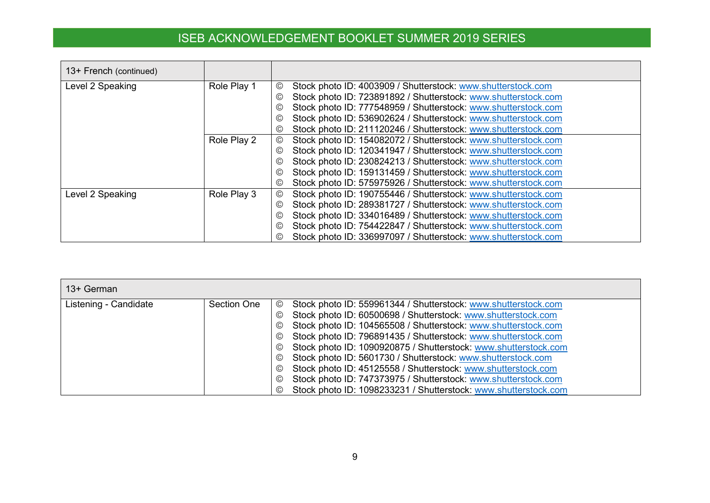| 13+ French (continued) |             |                                                                                  |
|------------------------|-------------|----------------------------------------------------------------------------------|
| Level 2 Speaking       | Role Play 1 | Stock photo ID: 4003909 / Shutterstock: www.shutterstock.com<br>©                |
|                        |             | Stock photo ID: 723891892 / Shutterstock: www.shutterstock.com<br>$\odot$        |
|                        |             | Stock photo ID: 777548959 / Shutterstock: www.shutterstock.com<br>©              |
|                        |             | Stock photo ID: 536902624 / Shutterstock: www.shutterstock.com<br>$\circledcirc$ |
|                        |             | Stock photo ID: 211120246 / Shutterstock: www.shutterstock.com<br>$\circledcirc$ |
|                        | Role Play 2 | Stock photo ID: 154082072 / Shutterstock: www.shutterstock.com<br>$\circledcirc$ |
|                        |             | Stock photo ID: 120341947 / Shutterstock: www.shutterstock.com<br>©              |
|                        |             | Stock photo ID: 230824213 / Shutterstock: www.shutterstock.com<br>$\circled{c}$  |
|                        |             | Stock photo ID: 159131459 / Shutterstock: www.shutterstock.com<br>©              |
|                        |             | Stock photo ID: 575975926 / Shutterstock: www.shutterstock.com<br>$\circledcirc$ |
| Level 2 Speaking       | Role Play 3 | Stock photo ID: 190755446 / Shutterstock: www.shutterstock.com<br>$\circledcirc$ |
|                        |             | Stock photo ID: 289381727 / Shutterstock: www.shutterstock.com<br>$\circledcirc$ |
|                        |             | Stock photo ID: 334016489 / Shutterstock: www.shutterstock.com<br>©              |
|                        |             | Stock photo ID: 754422847 / Shutterstock: www.shutterstock.com<br>©              |
|                        |             | Stock photo ID: 336997097 / Shutterstock: www.shutterstock.com<br>$\circledcirc$ |

| 13+ German            |                    |                                                                                   |
|-----------------------|--------------------|-----------------------------------------------------------------------------------|
| Listening - Candidate | <b>Section One</b> | Stock photo ID: 559961344 / Shutterstock: www.shutterstock.com<br>©               |
|                       |                    | Stock photo ID: 60500698 / Shutterstock: www.shutterstock.com<br>$\circledcirc$   |
|                       |                    | Stock photo ID: 104565508 / Shutterstock: www.shutterstock.com<br>$\circledcirc$  |
|                       |                    | Stock photo ID: 796891435 / Shutterstock: www.shutterstock.com<br>$\circledcirc$  |
|                       |                    | Stock photo ID: 1090920875 / Shutterstock: www.shutterstock.com<br>$\circledcirc$ |
|                       |                    | Stock photo ID: 5601730 / Shutterstock: www.shutterstock.com<br>$\circledcirc$    |
|                       |                    | Stock photo ID: 45125558 / Shutterstock: www.shutterstock.com<br>$\circledcirc$   |
|                       |                    | Stock photo ID: 747373975 / Shutterstock: www.shutterstock.com<br>$\circledcirc$  |
|                       |                    | Stock photo ID: 1098233231 / Shutterstock: www.shutterstock.com<br>$\circledcirc$ |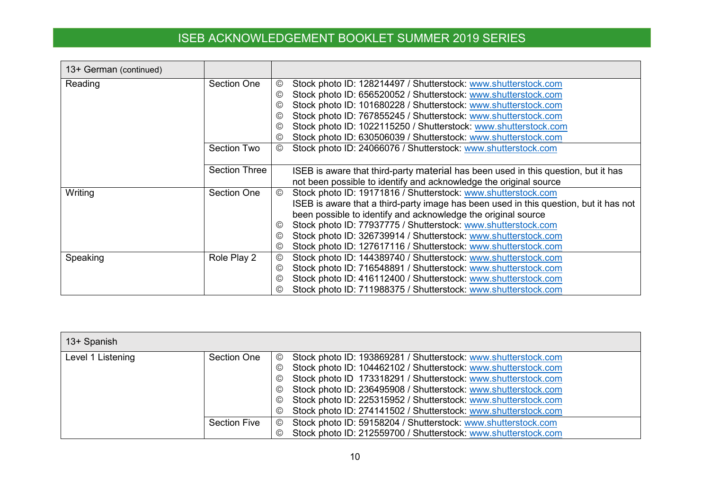| 13+ German (continued) |                      |                |                                                                                       |
|------------------------|----------------------|----------------|---------------------------------------------------------------------------------------|
| Reading                | Section One          | ©              | Stock photo ID: 128214497 / Shutterstock: www.shutterstock.com                        |
|                        |                      | $\circledcirc$ | Stock photo ID: 656520052 / Shutterstock: www.shutterstock.com                        |
|                        |                      | $\circledcirc$ | Stock photo ID: 101680228 / Shutterstock: www.shutterstock.com                        |
|                        |                      | $\circledcirc$ | Stock photo ID: 767855245 / Shutterstock: www.shutterstock.com                        |
|                        |                      | $\circledcirc$ | Stock photo ID: 1022115250 / Shutterstock: www.shutterstock.com                       |
|                        |                      | $\circledcirc$ | Stock photo ID: 630506039 / Shutterstock: www.shutterstock.com                        |
|                        | <b>Section Two</b>   | ©              | Stock photo ID: 24066076 / Shutterstock: www.shutterstock.com                         |
|                        |                      |                |                                                                                       |
|                        | <b>Section Three</b> |                | ISEB is aware that third-party material has been used in this question, but it has    |
|                        |                      |                | not been possible to identify and acknowledge the original source                     |
| Writing                | <b>Section One</b>   | ©              | Stock photo ID: 19171816 / Shutterstock: www.shutterstock.com                         |
|                        |                      |                | ISEB is aware that a third-party image has been used in this question, but it has not |
|                        |                      |                | been possible to identify and acknowledge the original source                         |
|                        |                      | $\circledcirc$ | Stock photo ID: 77937775 / Shutterstock: www.shutterstock.com                         |
|                        |                      | ©              | Stock photo ID: 326739914 / Shutterstock: www.shutterstock.com                        |
|                        |                      | $\circledcirc$ | Stock photo ID: 127617116 / Shutterstock: www.shutterstock.com                        |
| Speaking               | Role Play 2          | $\circledcirc$ | Stock photo ID: 144389740 / Shutterstock: www.shutterstock.com                        |
|                        |                      | $\circledcirc$ | Stock photo ID: 716548891 / Shutterstock: www.shutterstock.com                        |
|                        |                      | $^\copyright$  | Stock photo ID: 416112400 / Shutterstock: www.shutterstock.com                        |
|                        |                      |                | Stock photo ID: 711988375 / Shutterstock: www.shutterstock.com                        |

| 13+ Spanish       |                     |                                                                                  |
|-------------------|---------------------|----------------------------------------------------------------------------------|
| Level 1 Listening | <b>Section One</b>  | Stock photo ID: 193869281 / Shutterstock: www.shutterstock.com<br>$\odot$        |
|                   |                     | Stock photo ID: 104462102 / Shutterstock: www.shutterstock.com<br>$\circledcirc$ |
|                   |                     | Stock photo ID 173318291 / Shutterstock: www.shutterstock.com<br>$\circledcirc$  |
|                   |                     | Stock photo ID: 236495908 / Shutterstock: www.shutterstock.com<br>$\circledcirc$ |
|                   |                     | Stock photo ID: 225315952 / Shutterstock: www.shutterstock.com<br>$\circledcirc$ |
|                   |                     | Stock photo ID: 274141502 / Shutterstock: www.shutterstock.com<br>$\odot$        |
|                   | <b>Section Five</b> | Stock photo ID: 59158204 / Shutterstock: www.shutterstock.com<br>$\odot$         |
|                   |                     | Stock photo ID: 212559700 / Shutterstock: www.shutterstock.com<br>$\odot$        |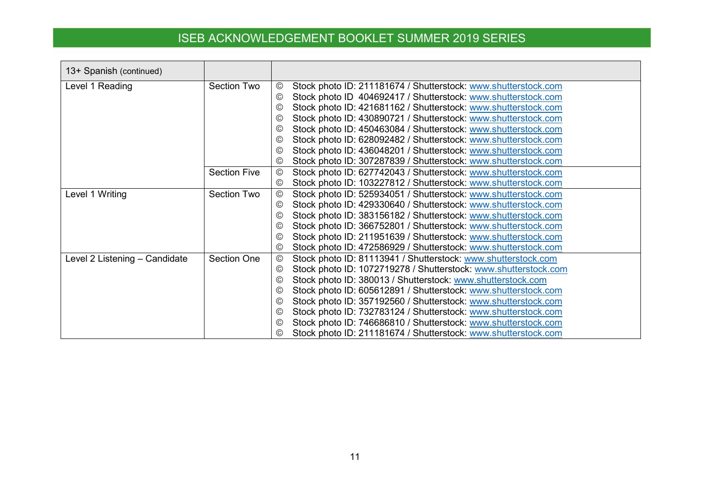| 13+ Spanish (continued)       |                     |                                                                                  |
|-------------------------------|---------------------|----------------------------------------------------------------------------------|
| Level 1 Reading               | <b>Section Two</b>  | Stock photo ID: 211181674 / Shutterstock: www.shutterstock.com<br>©              |
|                               |                     | Stock photo ID 404692417 / Shutterstock: www.shutterstock.com<br>$\circledcirc$  |
|                               |                     | Stock photo ID: 421681162 / Shutterstock: www.shutterstock.com<br>$\circled{c}$  |
|                               |                     | Stock photo ID: 430890721 / Shutterstock: www.shutterstock.com<br>$\circledcirc$ |
|                               |                     | Stock photo ID: 450463084 / Shutterstock: www.shutterstock.com<br>©              |
|                               |                     | Stock photo ID: 628092482 / Shutterstock: www.shutterstock.com<br>$\circledcirc$ |
|                               |                     | Stock photo ID: 436048201 / Shutterstock: www.shutterstock.com<br>$\circledcirc$ |
|                               |                     | Stock photo ID: 307287839 / Shutterstock: www.shutterstock.com<br>$\circled{c}$  |
|                               | <b>Section Five</b> | Stock photo ID: 627742043 / Shutterstock: www.shutterstock.com<br>©              |
|                               |                     | Stock photo ID: 103227812 / Shutterstock: www.shutterstock.com<br>$\circled{c}$  |
| Level 1 Writing               | <b>Section Two</b>  | Stock photo ID: 525934051 / Shutterstock: www.shutterstock.com<br>◎              |
|                               |                     | Stock photo ID: 429330640 / Shutterstock: www.shutterstock.com<br>$\circledcirc$ |
|                               |                     | Stock photo ID: 383156182 / Shutterstock: www.shutterstock.com<br>©              |
|                               |                     | Stock photo ID: 366752801 / Shutterstock: www.shutterstock.com<br>$\circledcirc$ |
|                               |                     | Stock photo ID: 211951639 / Shutterstock: www.shutterstock.com<br>$\circledcirc$ |
|                               |                     | Stock photo ID: 472586929 / Shutterstock: www.shutterstock.com<br>$\circledcirc$ |
| Level 2 Listening – Candidate | <b>Section One</b>  | Stock photo ID: 81113941 / Shutterstock: www.shutterstock.com<br>$\odot$         |
|                               |                     | Stock photo ID: 1072719278 / Shutterstock: www.shutterstock.com<br>$\circled{c}$ |
|                               |                     | Stock photo ID: 380013 / Shutterstock: www.shutterstock.com<br>$\circledcirc$    |
|                               |                     | Stock photo ID: 605612891 / Shutterstock: www.shutterstock.com<br>$\circledcirc$ |
|                               |                     | Stock photo ID: 357192560 / Shutterstock: www.shutterstock.com<br>$\odot$        |
|                               |                     | Stock photo ID: 732783124 / Shutterstock: www.shutterstock.com<br>©              |
|                               |                     | Stock photo ID: 746686810 / Shutterstock: www.shutterstock.com<br>$\circledcirc$ |
|                               |                     | Stock photo ID: 211181674 / Shutterstock: www.shutterstock.com                   |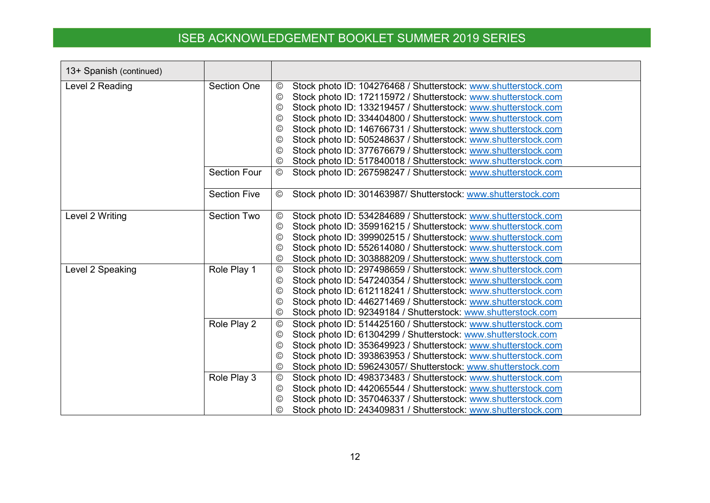| 13+ Spanish (continued) |                     |                                                                                   |
|-------------------------|---------------------|-----------------------------------------------------------------------------------|
| Level 2 Reading         | <b>Section One</b>  | Stock photo ID: 104276468 / Shutterstock: www.shutterstock.com<br>$\circledcirc$  |
|                         |                     | Stock photo ID: 172115972 / Shutterstock: www.shutterstock.com<br>$_{\odot}$      |
|                         |                     | Stock photo ID: 133219457 / Shutterstock: www.shutterstock.com<br>$^{\circledR}$  |
|                         |                     | Stock photo ID: 334404800 / Shutterstock: www.shutterstock.com<br>$\circledcirc$  |
|                         |                     | Stock photo ID: 146766731 / Shutterstock: www.shutterstock.com<br>$\odot$         |
|                         |                     | Stock photo ID: 505248637 / Shutterstock: www.shutterstock.com<br>$_{\odot}$      |
|                         |                     | Stock photo ID: 377676679 / Shutterstock: www.shutterstock.com<br>$\circledcirc$  |
|                         |                     | Stock photo ID: 517840018 / Shutterstock: www.shutterstock.com<br>$\circledcirc$  |
|                         | <b>Section Four</b> | Stock photo ID: 267598247 / Shutterstock: www.shutterstock.com<br>$\odot$         |
|                         | <b>Section Five</b> | Stock photo ID: 301463987/ Shutterstock: www.shutterstock.com<br>©                |
|                         |                     |                                                                                   |
| Level 2 Writing         | <b>Section Two</b>  | Stock photo ID: 534284689 / Shutterstock: www.shutterstock.com<br>$\circledcirc$  |
|                         |                     | Stock photo ID: 359916215 / Shutterstock: www.shutterstock.com<br>$\circledcirc$  |
|                         |                     | Stock photo ID: 399902515 / Shutterstock: www.shutterstock.com<br>$_{\mathbb{C}}$ |
|                         |                     | Stock photo ID: 552614080 / Shutterstock: www.shutterstock.com<br>$\circledcirc$  |
|                         |                     | Stock photo ID: 303888209 / Shutterstock: www.shutterstock.com<br>$^{\circledR}$  |
| Level 2 Speaking        | Role Play 1         | Stock photo ID: 297498659 / Shutterstock: www.shutterstock.com<br>$\circledcirc$  |
|                         |                     | Stock photo ID: 547240354 / Shutterstock: www.shutterstock.com<br>$\odot$         |
|                         |                     | Stock photo ID: 612118241 / Shutterstock: www.shutterstock.com<br>$\odot$         |
|                         |                     | Stock photo ID: 446271469 / Shutterstock: www.shutterstock.com<br>$^\copyright$   |
|                         |                     | Stock photo ID: 92349184 / Shutterstock: www.shutterstock.com<br>©                |
|                         | Role Play 2         | Stock photo ID: 514425160 / Shutterstock: www.shutterstock.com<br>$\odot$         |
|                         |                     | Stock photo ID: 61304299 / Shutterstock: www.shutterstock.com<br>$\circledcirc$   |
|                         |                     | Stock photo ID: 353649923 / Shutterstock: www.shutterstock.com<br>©               |
|                         |                     | Stock photo ID: 393863953 / Shutterstock: www.shutterstock.com<br>©               |
|                         |                     | Stock photo ID: 596243057/ Shutterstock: www.shutterstock.com<br>$\circledcirc$   |
|                         | Role Play 3         | $\circledcirc$<br>Stock photo ID: 498373483 / Shutterstock: www.shutterstock.com  |
|                         |                     | Stock photo ID: 442065544 / Shutterstock: www.shutterstock.com<br>$\circledcirc$  |
|                         |                     | Stock photo ID: 357046337 / Shutterstock: www.shutterstock.com<br>$\circledcirc$  |
|                         |                     | Stock photo ID: 243409831 / Shutterstock: www.shutterstock.com<br>O               |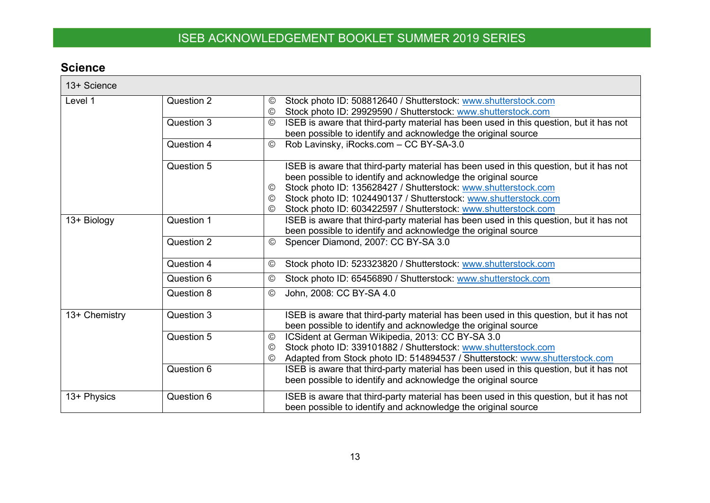## **Science**

<span id="page-12-0"></span>

| 13+ Science   |            |                                                                                                                                                                                                                                                                                                                                                                                                             |
|---------------|------------|-------------------------------------------------------------------------------------------------------------------------------------------------------------------------------------------------------------------------------------------------------------------------------------------------------------------------------------------------------------------------------------------------------------|
| Level 1       | Question 2 | Stock photo ID: 508812640 / Shutterstock: www.shutterstock.com<br>$\circledcirc$<br>Stock photo ID: 29929590 / Shutterstock: www.shutterstock.com<br>$\odot$                                                                                                                                                                                                                                                |
|               | Question 3 | ISEB is aware that third-party material has been used in this question, but it has not<br>$\circledcirc$<br>been possible to identify and acknowledge the original source                                                                                                                                                                                                                                   |
|               | Question 4 | Rob Lavinsky, iRocks.com - CC BY-SA-3.0<br>$\circledcirc$                                                                                                                                                                                                                                                                                                                                                   |
|               | Question 5 | ISEB is aware that third-party material has been used in this question, but it has not<br>been possible to identify and acknowledge the original source<br>Stock photo ID: 135628427 / Shutterstock: www.shutterstock.com<br>$\odot$<br>Stock photo ID: 1024490137 / Shutterstock: www.shutterstock.com<br>$\circled{c}$<br>Stock photo ID: 603422597 / Shutterstock: www.shutterstock.com<br>$\circled{c}$ |
| 13+ Biology   | Question 1 | ISEB is aware that third-party material has been used in this question, but it has not<br>been possible to identify and acknowledge the original source                                                                                                                                                                                                                                                     |
|               | Question 2 | Spencer Diamond, 2007: CC BY-SA 3.0<br>$_{\odot}$                                                                                                                                                                                                                                                                                                                                                           |
|               | Question 4 | Stock photo ID: 523323820 / Shutterstock: www.shutterstock.com<br>©                                                                                                                                                                                                                                                                                                                                         |
|               | Question 6 | Stock photo ID: 65456890 / Shutterstock: www.shutterstock.com<br>$\odot$                                                                                                                                                                                                                                                                                                                                    |
|               | Question 8 | John, 2008: CC BY-SA 4.0<br>$_{\mathbb{C}}$                                                                                                                                                                                                                                                                                                                                                                 |
| 13+ Chemistry | Question 3 | ISEB is aware that third-party material has been used in this question, but it has not<br>been possible to identify and acknowledge the original source                                                                                                                                                                                                                                                     |
|               | Question 5 | ICSident at German Wikipedia, 2013: CC BY-SA 3.0<br>$_{\mathbb{O}}$<br>Stock photo ID: 339101882 / Shutterstock: www.shutterstock.com<br>$\odot$<br>Adapted from Stock photo ID: 514894537 / Shutterstock: www.shutterstock.com<br>$\circledcirc$                                                                                                                                                           |
|               | Question 6 | ISEB is aware that third-party material has been used in this question, but it has not<br>been possible to identify and acknowledge the original source                                                                                                                                                                                                                                                     |
| 13+ Physics   | Question 6 | ISEB is aware that third-party material has been used in this question, but it has not<br>been possible to identify and acknowledge the original source                                                                                                                                                                                                                                                     |